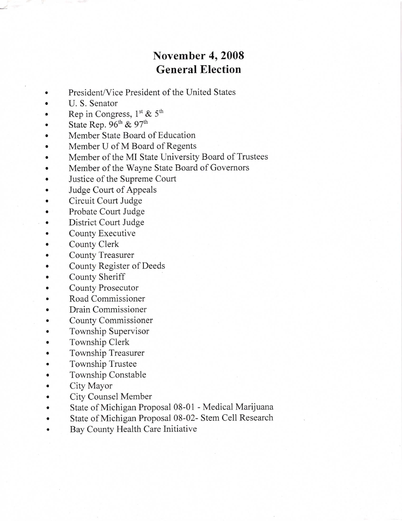## November 4,2008 General Election

- a President/Vice President of the United States
- a U. S. Senator
- I Rep in Congress,  $1<sup>st</sup>$  &  $5<sup>th</sup>$
- State Rep.  $96<sup>th</sup>$  &  $97<sup>th</sup>$
- a Member State Board of Education
- a Member U of M Board of Regents
- a Member of the MI State University Board of Trustees
- Member of the Wayne State Board of Govemors
- Justice of the Supreme Court
- Judge Court of Appeals
- a Circuit Court Judge
- a Probate Court Judge
- District Court Judge
- a County Executive
- a County Clerk
- County Treasurer
- a County Register of Deeds
- a County Sheriff
- County Prosecutor
- Road Commissioner
- a Drain Commissioner
- a County Commissioner
- a Township Supervisor
- Township Clerk
- Township Treasurer
- Township Trustee
- a Township Constable
- a City Mayor
- City Counsel Member
- State of Michigan Proposal 08-01 Medical Marijuana  $\bullet$
- a State of Michigan Proposal 08-02- Stem Cell Research
- a Bay County Health Care Initiative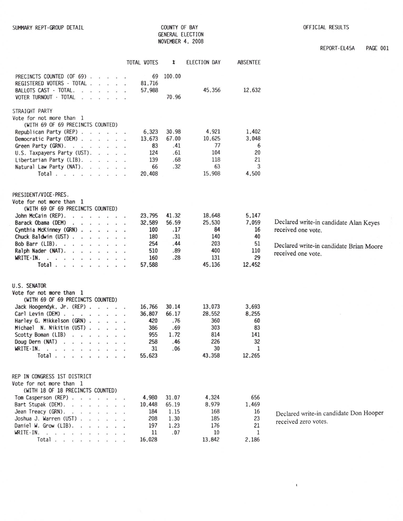COUNTY OF BAY GENERAL ELECTION NOVEMBER 4, 2008

 $\pmb{\mathfrak{t}}$ 

REPORT-EL45A PAGE 001

|                                                                                                                                                                                                                                                                                                                                                                                                                                                                                                             | TOTAL VOTES                                                   | X                                                  | ELECTION DAY                                                 | ABSENTEE                                                |                                                                                                                               |
|-------------------------------------------------------------------------------------------------------------------------------------------------------------------------------------------------------------------------------------------------------------------------------------------------------------------------------------------------------------------------------------------------------------------------------------------------------------------------------------------------------------|---------------------------------------------------------------|----------------------------------------------------|--------------------------------------------------------------|---------------------------------------------------------|-------------------------------------------------------------------------------------------------------------------------------|
| PRECINCTS COUNTED (OF 69)<br>REGISTERED VOTERS - TOTAL<br>BALLOTS CAST - TOTAL.<br>VOTER TURNOUT - TOTAL                                                                                                                                                                                                                                                                                                                                                                                                    | 69<br>81,716<br>57,988                                        | 100.00<br>70.96                                    | 45,356                                                       | 12,632                                                  |                                                                                                                               |
| STRAIGHT PARTY<br>Vote for not more than 1<br>(WITH 69 OF 69 PRECINCTS COUNTED)<br>Republican Party (REP)<br>Democratic Party (DEM)<br>Green Party (GRN). $\ldots$<br>U.S. Taxpayers Party (UST).<br>Libertarian Party (LIB).<br>Natural Law Party (NAT).<br>Total                                                                                                                                                                                                                                          | 6,323<br>13.673<br>83<br>124<br>139<br>66<br>20,408           | 30.98<br>67.00<br>.41<br>.61<br>.68<br>.32         | 4,921<br>10,625<br>77<br>104<br>118<br>63<br>15,908          | 1,402<br>3,048<br>6<br>20<br>21<br>3<br>4,500           |                                                                                                                               |
| PRESIDENT/VICE-PRES.<br>Vote for not more than 1<br>(WITH 69 OF 69 PRECINCTS COUNTED)<br>John McCain (REP).<br>Barack Obama (DEM)<br>.<br>Cynthia McKinney (GRN)<br>Chuck Baldwin (UST)<br>Bob Barr (LIB).<br>Ralph Nader (NAT).<br>WRITE-IN.<br>Total $\cdots$ $\cdots$ $\cdots$                                                                                                                                                                                                                           | 23.795<br>32,589<br>100<br>180<br>254<br>510<br>160<br>57,588 | 41.32<br>56.59<br>.17<br>.31<br>.44<br>.89<br>.28  | 18,648<br>25,530<br>84<br>140<br>203<br>400<br>131<br>45,136 | 5,147<br>7,059<br>16<br>40<br>51<br>110<br>29<br>12,452 | Declared write-in candidate Alan Keyes<br>received one vote.<br>Declared write-in candidate Brian Moore<br>received one vote. |
| U.S. SENATOR<br>Vote for not more than 1<br>(WITH 69 OF 69 PRECINCTS COUNTED)<br>Jack Hoogendyk, Jr. (REP)<br>Carl Levin (DEM)<br>Harley G. Mikkelson (GRN)<br>Michael N. Nikitin (UST)<br>Scotty Boman (LIB)<br>Doug Dern $(NAT)$<br>WRITE-IN.<br>the contract of the contract of the contract of the contract of the contract of the contract of the contract of<br>Total                                                                                                                                 | 16,766<br>36,807<br>420<br>386<br>955<br>258<br>31<br>55,623  | 30.14<br>66.17<br>.76<br>.69<br>1.72<br>.46<br>.06 | 13,073<br>28,552<br>360<br>303<br>814<br>226<br>30<br>43,358 | 3,693<br>8,255<br>60<br>83<br>141<br>32<br>1<br>12,265  |                                                                                                                               |
| REP IN CONGRESS 1ST DISTRICT<br>Vote for not more than 1<br>(WITH 18 OF 18 PRECINCTS COUNTED)<br>Tom Casperson (REP)<br>Bart Stupak (DEM).<br>Jean Treacy (GRN).<br>the company's company and<br>Joshua J. Warren (UST)<br>Daniel W. Grow (LIB).<br>WRITE-IN.<br>$\mathbf{r}$ . The state of the state of the state of the state of the state of the state of the state of the state of the state of the state of the state of the state of the state of the state of the state of the state of th<br>Total | 4.980<br>10.448<br>184<br>208<br>197<br>11<br>16,028          | 31.07<br>65.19<br>1.15<br>1.30<br>1.23<br>.07      | 4,324<br>8,979<br>168<br>185<br>176<br>10<br>13,842          | 656<br>1,469<br>16<br>23<br>21<br>1<br>2.186            | Declared write-in candidate Don Hooper<br>received zero votes.                                                                |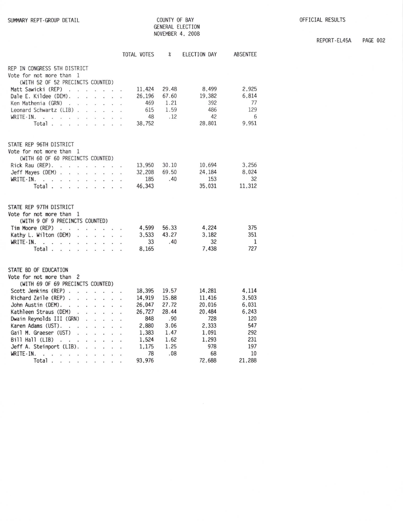|                                                                                                                                                      | <b>TOTAL VOTES</b> | $\chi$         | ELECTION DAY    | <b>ABSENTEE</b> |
|------------------------------------------------------------------------------------------------------------------------------------------------------|--------------------|----------------|-----------------|-----------------|
| REP IN CONGRESS 5TH DISTRICT<br>Vote for not more than 1                                                                                             |                    |                |                 |                 |
| (WITH 52 OF 52 PRECINCTS COUNTED)                                                                                                                    |                    |                |                 |                 |
| Matt Sawicki (REP)<br>$\overline{\phantom{a}}$<br>a.<br>$\ddot{\phantom{a}}$<br>an in                                                                | 11,424             | 29.48<br>67.60 | 8.499<br>19,382 | 2.925<br>6,814  |
| Dale E. Kildee (DEM).<br>$\ddot{\phantom{0}}$<br>i.<br>à,<br>Ken Mathenia (GRN)                                                                      | 26,196<br>469      | 1.21           | 392             | 77              |
| $\sim$<br>$\cdot$<br>ù.<br>Leonard Schwartz (LIB).<br>$\sim$ $\sim$ $\sim$ $\sim$                                                                    | 615                | 1.59           | 486             | 129             |
| WRITE-IN.<br>$\ddot{\phantom{1}}$<br>ú.                                                                                                              | 48                 | .12            | 42              | 6               |
| Total.                                                                                                                                               | 38,752             |                | 28,801          | 9,951           |
| STATE REP 96TH DISTRICT                                                                                                                              |                    |                |                 |                 |
| Vote for not more than 1                                                                                                                             |                    |                |                 |                 |
| (WITH 60 OF 60 PRECINCTS COUNTED)                                                                                                                    |                    |                |                 |                 |
| Rick Rau (REP).<br>$\sim$<br>$\sim$<br>$\overline{\phantom{a}}$<br>$\sim$                                                                            | 13,950             | 30.10          | 10.694          | 3,256           |
| Jeff Mayes (DEM).<br>÷,<br>ç.<br>à.<br>$\sim$<br>V.                                                                                                  | 32.208             | 69.50          | 24.184          | 8.024           |
| WRITE-IN.<br>$\dddot{\phantom{0}}$<br>÷.<br>$\sim$ $\sim$<br>$\ddot{\phantom{a}}$<br>$\sim$<br>¥<br>$\bullet$<br>$\ddot{\phantom{0}}$                | 185                | .40            | 153             | 32              |
| Total.<br>L.                                                                                                                                         | 46,343             |                | 35.031          | 11,312          |
| STATE REP 97TH DISTRICT                                                                                                                              |                    |                |                 |                 |
| Vote for not more than 1                                                                                                                             |                    |                |                 |                 |
| (WITH 9 OF 9 PRECINCTS COUNTED)                                                                                                                      |                    |                |                 |                 |
| Tim Moore (REP)<br>$\mathbf{r}$<br>$\ddot{\phantom{a}}$<br>.                                                                                         | 4,599              | 56.33          | 4,224           | 375             |
| Kathy L. Wilton (DEM)<br>$\mathbf{r}$<br>$\mathbf{r}$<br>$\sim$<br>à.                                                                                | 3.533              | 43.27          | 3.182           | 351             |
| WRITE-IN.<br>ä.<br>$\sim$<br>$\cdot$ $\cdot$<br>$\sim$ $\sim$<br>$\overline{\phantom{a}}$                                                            | 33                 | .40            | 32              | $\mathbf{1}$    |
| Total.<br>÷.<br>- 2<br>à.<br>$\sim$ $\sim$<br>$\sim$                                                                                                 | 8,165              |                | 7,438           | 727             |
| STATE BD OF EDUCATION                                                                                                                                |                    |                |                 |                 |
| Vote for not more than 2                                                                                                                             |                    |                |                 |                 |
| (WITH 69 OF 69 PRECINCTS COUNTED)                                                                                                                    |                    |                |                 |                 |
| Scott Jenkins (REP).<br>$\sim$<br>÷<br>$\sim$<br>Ø.                                                                                                  | 18,395             | 19.57          | 14,281          | 4.114           |
| Richard Zeile (REP).<br>¥.<br>à.<br>$\mathcal{L}$<br>à.                                                                                              | 14,919             | 15.88          | 11,416          | 3,503           |
| John Austin (DEM).<br>$\sim$<br>$\sim$                                                                                                               | 26.047             | 27.72          | 20.016          | 6.031           |
| Kathleen Straus (DEM)<br>÷.<br>à.<br>$\sim$<br>Ŷ.                                                                                                    | 26,727             | 28.44          | 20,484          | 6,243           |
| Dwain Reynolds III (GRN)<br>$\ddot{\phantom{a}}$<br>Ĭ.                                                                                               | 848                | .90            | 728             | 120             |
| Karen Adams (UST).                                                                                                                                   | 2,880              | 3.06           | 2,333           | 547             |
| Gail M. Graeser (UST)<br>- a<br>ź.<br>$\sim$                                                                                                         | 1,383              | 1.47           | 1,091           | 292             |
| Bill Hall (LIB)<br>$\mathbf{r}$<br>$\cdot$ .<br>s.<br>$\epsilon$<br>$\ddot{\phantom{1}}$                                                             | 1,524              | 1.62           | 1.293           | 231             |
| Jeff A. Steinport (LIB).<br>$\overline{a}$<br>$\sim$                                                                                                 | 1.175              | 1.25           | 978             | 197             |
| WRITE-IN.<br>¥,<br>$\ddot{\phantom{a}}$<br>à.<br>÷.<br>Ŷ.<br>¥                                                                                       | 78                 | .08            | 68              | 10              |
| <b>Total</b><br>$\mathbf{r} = \mathbf{r} \cdot \mathbf{r} = \mathbf{r} \cdot \mathbf{r} = \mathbf{r} \cdot \mathbf{r} = \mathbf{r} \cdot \mathbf{r}$ | 93,976             |                | 72,688          | 21,288          |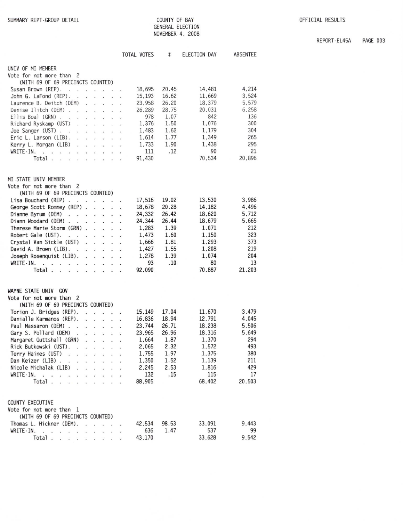REPORT-EL45A PAGE 003

| COUNTY OF BAY<br>GENERAL ELECTION<br>NOVEMBER 4, 2008 |                            |              |          |  |  |
|-------------------------------------------------------|----------------------------|--------------|----------|--|--|
| TOTAL VOTES                                           | $\boldsymbol{\mathcal{X}}$ | ELECTION DAY | ABSENTEE |  |  |

| UNIV OF MI MEMBER                                                                                                              |        |       |        |        |
|--------------------------------------------------------------------------------------------------------------------------------|--------|-------|--------|--------|
| Vote for not more than 2                                                                                                       |        |       |        |        |
| (WITH 69 OF 69 PRECINCTS COUNTED)                                                                                              |        |       |        |        |
| Susan Brown (REP).<br>$\ddot{\phantom{a}}$<br>$\ddot{\phantom{a}}$                                                             | 18,695 | 20.45 | 14.481 | 4,214  |
| John G. LaFond (REP).<br>÷.<br>$\mathcal{L}$<br>W.                                                                             | 15,193 | 16.62 | 11,669 | 3,524  |
| Laurence B. Deitch (DEM)<br>à.<br>ä.                                                                                           | 23.958 | 26.20 | 18.379 | 5,579  |
| Denise Ilitch (DEM).<br>$\sim$<br>$\ddot{\phantom{a}}$<br>$\cdot$ .                                                            | 26,289 | 28.75 | 20.031 | 6,258  |
| Ellis Boal (GRN) .<br>$\sim 10$<br>$\mathbf{r}$                                                                                | 978    | 1.07  | 842    | 136    |
| Richard Ryskamp (UST)<br>$\sim$<br>÷.<br>s.<br>$\sim$                                                                          | 1,376  | 1.50  | 1,076  | 300    |
| Joe Sanger (UST)<br>$\mathcal{L}$<br>$\mathbf{r}$<br>$\mathcal{L}$<br>ୁ<br>÷                                                   | 1,483  | 1.62  | 1,179  | 304    |
| Eric L. Larson (LIB).<br>$\ddot{\phantom{a}}$<br>W.<br>$\sim$<br>245<br>s.                                                     | 1.614  | 1.77  | 1.349  | 265    |
| Kerry L. Morgan (LIB)<br>$\sim$<br>$\ddot{\phantom{0}}$<br>$\cdot$                                                             | 1,733  | 1.90  | 1,438  | 295    |
| WRITE-IN.<br>$\ddot{\phantom{1}}$<br>$\cdot$ $\cdot$<br>$\ddot{\phantom{0}}$<br>$\mathcal{L}_{\mathcal{L}}$<br>$\cdot$ $\cdot$ | 111    | .12   | 90     | 21     |
| Total<br>r.<br>$\mathbf{r} = \mathbf{r}$<br>v.                                                                                 | 91,430 |       | 70.534 | 20,896 |
|                                                                                                                                |        |       |        |        |
| MI STATE UNIV MEMBER                                                                                                           |        |       |        |        |
| Vote for not more than 2                                                                                                       |        |       |        |        |
| (WITH 69 OF 69 PRECINCTS COUNTED)                                                                                              |        |       |        |        |
| Lisa Bouchard (REP).<br>$\cdot$ $\cdot$                                                                                        | 17,516 | 19.02 | 13,530 | 3,986  |
| George Scott Romney (REP).<br>÷                                                                                                | 18,678 | 20.28 | 14,182 | 4,496  |
| Dianne Byrum (DEM)<br>$\ddot{\phantom{0}}$<br>÷<br>$\ddot{\phantom{0}}$<br>W.<br>$\cdot$                                       | 24,332 | 26.42 | 18,620 | 5.712  |
| Diann Woodard (DEM).<br>$\cdot$ $\cdot$<br>×.                                                                                  | 24,344 | 26.44 | 18,679 | 5.665  |
| Therese Marie Storm (GRN) .<br>$\mathbf{r}$                                                                                    | 1,283  | 1.39  | 1.071  | 212    |
| Robert Gale (UST).<br>$\sim$<br>$\cdot$ $\cdot$<br>$\mathcal{L}$                                                               | 1,473  | 1.60  | 1,150  | 323    |
| Crystal Van Sickle (UST)<br>$\ddot{\phantom{a}}$<br>w.                                                                         | 1,666  | 1.81  | 1.293  | 373    |
| David A. Brown (LIB).                                                                                                          | 1,427  | 1.55  | 1,208  | 219    |
| $\cdot$<br>$\bullet$<br>$\overline{\phantom{a}}$<br>$\cdot$<br>$\mathcal{L}_{\mathbf{z}}$                                      | 1,278  | 1.39  | 1,074  | 204    |
| Joseph Rosenquist (LIB).<br>ä.<br>WRITE-IN.                                                                                    | 93     | .10   | 80     | 13     |
| $\sim$<br>The common<br>÷<br>$\sim$<br>х.<br>Total                                                                             |        |       | 70.887 | 21,203 |
| $\ddot{\phantom{a}}$<br>$\ddot{\phantom{0}}$<br>$\ddot{\phantom{a}}$                                                           | 92,090 |       |        |        |
|                                                                                                                                |        |       |        |        |
| WAYNE STATE UNIV<br>GOV                                                                                                        |        |       |        |        |
| Vote for not more than 2                                                                                                       |        |       |        |        |
| (WITH 69 OF 69 PRECINCTS COUNTED)                                                                                              |        |       |        |        |
| Torion J. Bridges (REP).                                                                                                       | 15,149 | 17.04 | 11,670 | 3,479  |
| Danialle Karmanos (REP).<br>ù.                                                                                                 | 16,836 | 18.94 | 12.791 | 4.045  |
| Paul Massaron (DEM).<br>×.                                                                                                     | 23.744 | 26.71 | 18,238 | 5.506  |
| Gary S. Pollard (DEM)<br>÷.<br>÷<br>$\ddot{\phantom{0}}$<br>$\ddot{\phantom{a}}$                                               | 23,965 | 26.96 | 18,316 | 5.649  |
| Margaret Guttshall (GRN)                                                                                                       | 1.664  | 1.87  | 1,370  | 294    |
| Rick Butkowski (UST).<br>$\overline{a}$                                                                                        | 2,065  | 2.32  | 1,572  | 493    |
| Terry Haines (UST)<br>្<br>÷<br>¥                                                                                              | 1,755  | 1.97  | 1.375  | 380    |
| Dan Keizer (LIB)                                                                                                               | 1,350  | 1.52  | 1,139  | 211    |
| Nicole Michalak (LIB)                                                                                                          | 2.245  | 2.53  | 1,816  | 429    |
| $WRITE-IN.$ .                                                                                                                  | 132    | .15   | 115    | 17     |
| Total.                                                                                                                         | 88,905 |       | 68,402 | 20,503 |
|                                                                                                                                |        |       |        |        |
|                                                                                                                                |        |       |        |        |
| COUNTY EXECUTIVE                                                                                                               |        |       |        |        |
| Vote for not more than 1                                                                                                       |        |       |        |        |
| (WITH 69 OF 69 PRECINCTS COUNTED)                                                                                              |        |       |        |        |
| Thomas L. Hickner (DEM). .<br>.                                                                                                | 42.534 | 98.53 | 33,091 | 9.443  |
| $WRITE-IN.$                                                                                                                    | 636    | 1.47  | 537    | 99     |
| Total.                                                                                                                         | 43.170 |       | 33.628 | 9.542  |